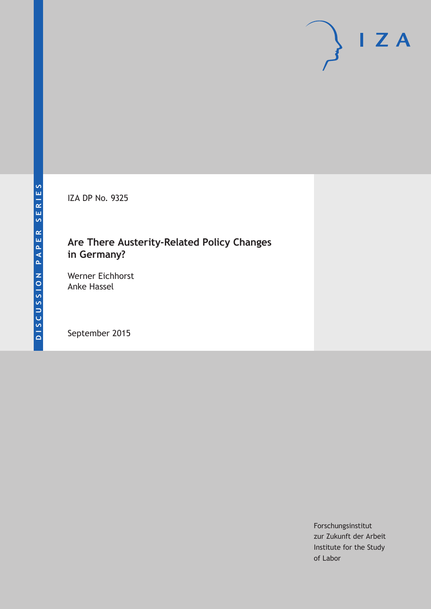IZA DP No. 9325

# **Are There Austerity‐Related Policy Changes in Germany?**

Werner Eichhorst Anke Hassel

September 2015

Forschungsinstitut zur Zukunft der Arbeit Institute for the Study of Labor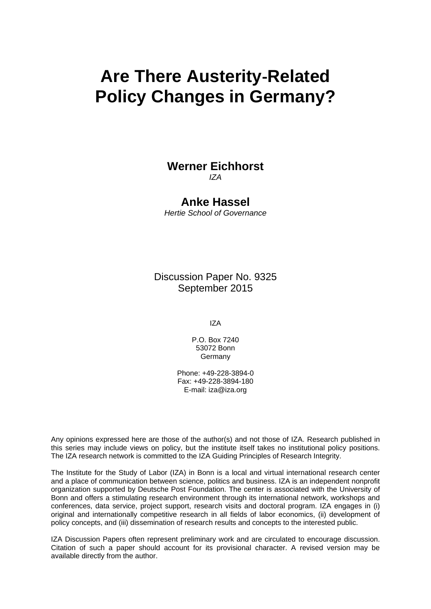# **Are There Austerity**‐**Related Policy Changes in Germany?**

### **Werner Eichhorst**  *IZA*

### **Anke Hassel**

*Hertie School of Governance* 

Discussion Paper No. 9325 September 2015

IZA

P.O. Box 7240 53072 Bonn Germany

Phone: +49-228-3894-0 Fax: +49-228-3894-180 E-mail: iza@iza.org

Any opinions expressed here are those of the author(s) and not those of IZA. Research published in this series may include views on policy, but the institute itself takes no institutional policy positions. The IZA research network is committed to the IZA Guiding Principles of Research Integrity.

The Institute for the Study of Labor (IZA) in Bonn is a local and virtual international research center and a place of communication between science, politics and business. IZA is an independent nonprofit organization supported by Deutsche Post Foundation. The center is associated with the University of Bonn and offers a stimulating research environment through its international network, workshops and conferences, data service, project support, research visits and doctoral program. IZA engages in (i) original and internationally competitive research in all fields of labor economics, (ii) development of policy concepts, and (iii) dissemination of research results and concepts to the interested public.

IZA Discussion Papers often represent preliminary work and are circulated to encourage discussion. Citation of such a paper should account for its provisional character. A revised version may be available directly from the author.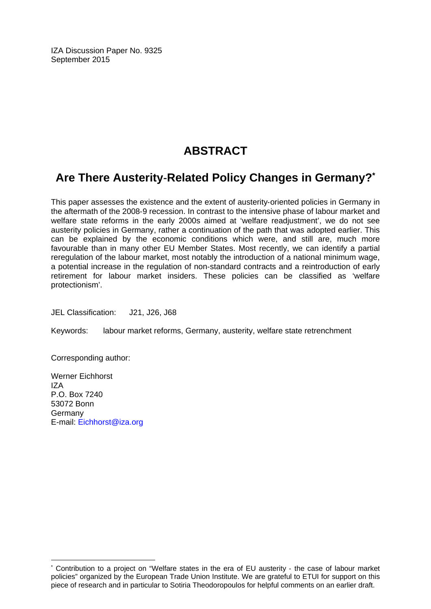IZA Discussion Paper No. 9325 September 2015

# **ABSTRACT**

# **Are There Austerity**‐**Related Policy Changes in Germany?\***

This paper assesses the existence and the extent of austerity‐oriented policies in Germany in the aftermath of the 2008‐9 recession. In contrast to the intensive phase of labour market and welfare state reforms in the early 2000s aimed at 'welfare readjustment', we do not see austerity policies in Germany, rather a continuation of the path that was adopted earlier. This can be explained by the economic conditions which were, and still are, much more favourable than in many other EU Member States. Most recently, we can identify a partial reregulation of the labour market, most notably the introduction of a national minimum wage, a potential increase in the regulation of non‐standard contracts and a reintroduction of early retirement for labour market insiders. These policies can be classified as 'welfare protectionism'.

JEL Classification: J21, J26, J68

Keywords: labour market reforms, Germany, austerity, welfare state retrenchment

Corresponding author:

Werner Eichhorst IZA P.O. Box 7240 53072 Bonn Germany E-mail: Eichhorst@iza.org

 $\overline{a}$ 

<sup>\*</sup> Contribution to a project on "Welfare states in the era of EU austerity ‐ the case of labour market policies" organized by the European Trade Union Institute. We are grateful to ETUI for support on this piece of research and in particular to Sotiria Theodoropoulos for helpful comments on an earlier draft.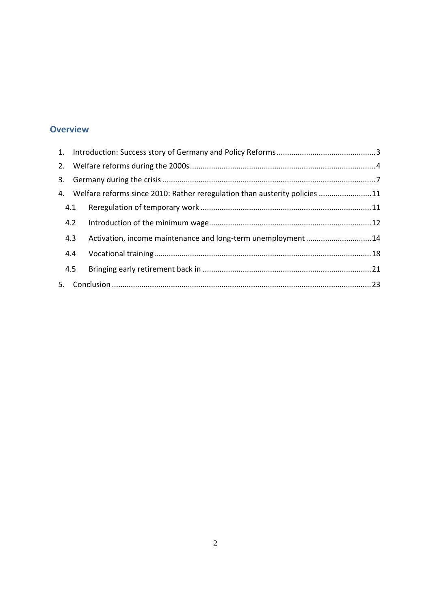## **Overview**

|     | 4. Welfare reforms since 2010: Rather reregulation than austerity policies 11 |  |  |  |  |  |  |
|-----|-------------------------------------------------------------------------------|--|--|--|--|--|--|
|     |                                                                               |  |  |  |  |  |  |
|     |                                                                               |  |  |  |  |  |  |
| 4.3 | Activation, income maintenance and long-term unemployment 14                  |  |  |  |  |  |  |
| 4.4 |                                                                               |  |  |  |  |  |  |
| 4.5 |                                                                               |  |  |  |  |  |  |
|     |                                                                               |  |  |  |  |  |  |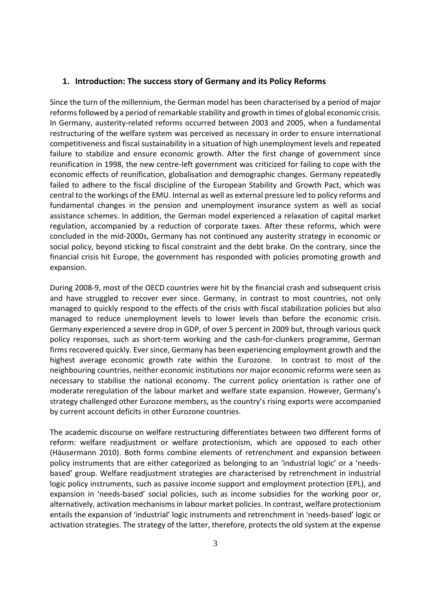#### **1. Introduction: The success story of Germany and its Policy Reforms**

Since the turn of the millennium, the German model has been characterised by a period of major reformsfollowed by a period of remarkable stability and growth in times of global economic crisis. In Germany, austerity-related reforms occurred between 2003 and 2005, when a fundamental restructuring of the welfare system was perceived as necessary in order to ensure international competitiveness and fiscal sustainability in a situation of high unemployment levels and repeated failure to stabilize and ensure economic growth. After the first change of government since reunification in 1998, the new centre‐left government was criticized for failing to cope with the economic effects of reunification, globalisation and demographic changes. Germany repeatedly failed to adhere to the fiscal discipline of the European Stability and Growth Pact, which was central to the workings of the EMU. Internal as well as external pressure led to policy reforms and fundamental changes in the pension and unemployment insurance system as well as social assistance schemes. In addition, the German model experienced a relaxation of capital market regulation, accompanied by a reduction of corporate taxes. After these reforms, which were concluded in the mid‐2000s, Germany has not continued any austerity strategy in economic or social policy, beyond sticking to fiscal constraint and the debt brake. On the contrary, since the financial crisis hit Europe, the government has responded with policies promoting growth and expansion.

During 2008‐9, most of the OECD countries were hit by the financial crash and subsequent crisis and have struggled to recover ever since. Germany, in contrast to most countries, not only managed to quickly respond to the effects of the crisis with fiscal stabilization policies but also managed to reduce unemployment levels to lower levels than before the economic crisis. Germany experienced a severe drop in GDP, of over 5 percent in 2009 but, through various quick policy responses, such as short‐term working and the cash‐for‐clunkers programme, German firms recovered quickly. Ever since, Germany has been experiencing employment growth and the highest average economic growth rate within the Eurozone. In contrast to most of the neighbouring countries, neither economic institutions nor major economic reforms were seen as necessary to stabilise the national economy. The current policy orientation is rather one of moderate reregulation of the labour market and welfare state expansion. However, Germany's strategy challenged other Eurozone members, as the country's rising exports were accompanied by current account deficits in other Eurozone countries.

The academic discourse on welfare restructuring differentiates between two different forms of reform: welfare readjustment or welfare protectionism, which are opposed to each other (Häusermann 2010). Both forms combine elements of retrenchment and expansion between policy instruments that are either categorized as belonging to an 'industrial logic' or a 'needsbased' group. Welfare readjustment strategies are characterised by retrenchment in industrial logic policy instruments, such as passive income support and employment protection (EPL), and expansion in 'needs-based' social policies, such as income subsidies for the working poor or, alternatively, activation mechanisms in labour market policies. In contrast, welfare protectionism entails the expansion of 'industrial' logic instruments and retrenchment in 'needs‐based' logic or activation strategies. The strategy of the latter, therefore, protects the old system at the expense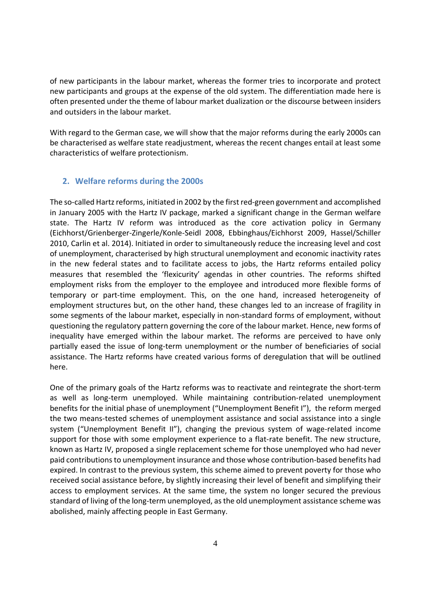of new participants in the labour market, whereas the former tries to incorporate and protect new participants and groups at the expense of the old system. The differentiation made here is often presented under the theme of labour market dualization or the discourse between insiders and outsiders in the labour market.

With regard to the German case, we will show that the major reforms during the early 2000s can be characterised as welfare state readjustment, whereas the recent changes entail at least some characteristics of welfare protectionism.

#### **2. Welfare reforms during the 2000s**

The so-called Hartz reforms, initiated in 2002 by the first red-green government and accomplished in January 2005 with the Hartz IV package, marked a significant change in the German welfare state. The Hartz IV reform was introduced as the core activation policy in Germany (Eichhorst/Grienberger‐Zingerle/Konle‐Seidl 2008, Ebbinghaus/Eichhorst 2009, Hassel/Schiller 2010, Carlin et al. 2014). Initiated in order to simultaneously reduce the increasing level and cost of unemployment, characterised by high structural unemployment and economic inactivity rates in the new federal states and to facilitate access to jobs, the Hartz reforms entailed policy measures that resembled the 'flexicurity' agendas in other countries. The reforms shifted employment risks from the employer to the employee and introduced more flexible forms of temporary or part-time employment. This, on the one hand, increased heterogeneity of employment structures but, on the other hand, these changes led to an increase of fragility in some segments of the labour market, especially in non-standard forms of employment, without questioning the regulatory pattern governing the core of the labour market. Hence, new forms of inequality have emerged within the labour market. The reforms are perceived to have only partially eased the issue of long-term unemployment or the number of beneficiaries of social assistance. The Hartz reforms have created various forms of deregulation that will be outlined here.

One of the primary goals of the Hartz reforms was to reactivate and reintegrate the short‐term as well as long-term unemployed. While maintaining contribution-related unemployment benefits for the initial phase of unemployment ("Unemployment Benefit I"), the reform merged the two means‐tested schemes of unemployment assistance and social assistance into a single system ("Unemployment Benefit II"), changing the previous system of wage-related income support for those with some employment experience to a flat-rate benefit. The new structure, known as Hartz IV, proposed a single replacement scheme for those unemployed who had never paid contributionsto unemployment insurance and those whose contribution‐based benefits had expired. In contrast to the previous system, this scheme aimed to prevent poverty for those who received social assistance before, by slightly increasing their level of benefit and simplifying their access to employment services. At the same time, the system no longer secured the previous standard of living of the long‐term unemployed, asthe old unemployment assistance scheme was abolished, mainly affecting people in East Germany.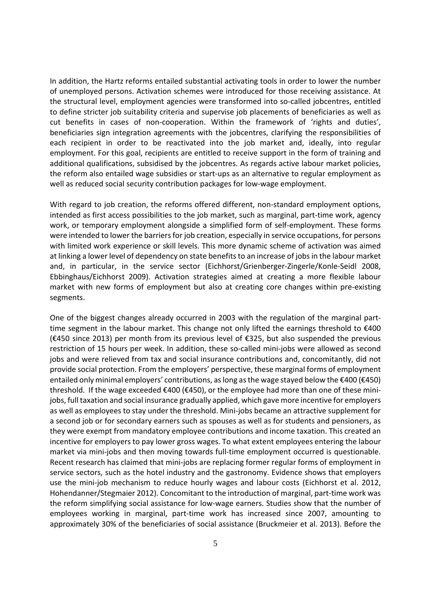In addition, the Hartz reforms entailed substantial activating tools in order to lower the number of unemployed persons. Activation schemes were introduced for those receiving assistance. At the structural level, employment agencies were transformed into so-called jobcentres, entitled to define stricter job suitability criteria and supervise job placements of beneficiaries as well as cut benefits in cases of non-cooperation. Within the framework of 'rights and duties', beneficiaries sign integration agreements with the jobcentres, clarifying the responsibilities of each recipient in order to be reactivated into the job market and, ideally, into regular employment. For this goal, recipients are entitled to receive support in the form of training and additional qualifications, subsidised by the jobcentres. As regards active labour market policies, the reform also entailed wage subsidies or start‐ups as an alternative to regular employment as well as reduced social security contribution packages for low-wage employment.

With regard to job creation, the reforms offered different, non-standard employment options, intended as first access possibilities to the job market, such as marginal, part-time work, agency work, or temporary employment alongside a simplified form of self-employment. These forms were intended to lower the barriersfor job creation, especially in service occupations, for persons with limited work experience or skill levels. This more dynamic scheme of activation was aimed at linking a lower level of dependency on state benefits to an increase of jobs in the labour market and, in particular, in the service sector (Eichhorst/Grienberger‐Zingerle/Konle‐Seidl 2008, Ebbinghaus/Eichhorst 2009). Activation strategies aimed at creating a more flexible labour market with new forms of employment but also at creating core changes within pre‐existing segments.

One of the biggest changes already occurred in 2003 with the regulation of the marginal part‐ time segment in the labour market. This change not only lifted the earnings threshold to €400 (€450 since 2013) per month from its previous level of €325, but also suspended the previous restriction of 15 hours per week. In addition, these so-called mini-jobs were allowed as second jobs and were relieved from tax and social insurance contributions and, concomitantly, did not provide social protection. From the employers' perspective, these marginal forms of employment entailed only minimal employers' contributions, as long as the wage stayed below the  $\epsilon$ 400 ( $\epsilon$ 450) threshold. If the wage exceeded €400 (€450), or the employee had more than one of these mini‐ jobs, full taxation and social insurance gradually applied, which gave more incentive for employers as well as employees to stay under the threshold. Mini‐jobs became an attractive supplement for a second job or for secondary earners such as spouses as well as for students and pensioners, as they were exempt from mandatory employee contributions and income taxation. This created an incentive for employers to pay lower gross wages. To what extent employees entering the labour market via mini-jobs and then moving towards full-time employment occurred is questionable. Recent research has claimed that mini‐jobs are replacing former regular forms of employment in service sectors, such as the hotel industry and the gastronomy. Evidence shows that employers use the mini-job mechanism to reduce hourly wages and labour costs (Eichhorst et al. 2012, Hohendanner/Stegmaier 2012). Concomitant to the introduction of marginal, part‐time work was the reform simplifying social assistance for low‐wage earners. Studies show that the number of employees working in marginal, part-time work has increased since 2007, amounting to approximately 30% of the beneficiaries of social assistance (Bruckmeier et al. 2013). Before the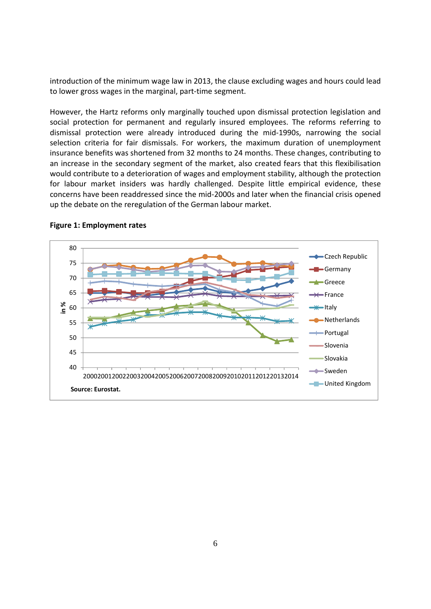introduction of the minimum wage law in 2013, the clause excluding wages and hours could lead to lower gross wages in the marginal, part-time segment.

However, the Hartz reforms only marginally touched upon dismissal protection legislation and social protection for permanent and regularly insured employees. The reforms referring to dismissal protection were already introduced during the mid‐1990s, narrowing the social selection criteria for fair dismissals. For workers, the maximum duration of unemployment insurance benefits was shortened from 32 months to 24 months. These changes, contributing to an increase in the secondary segment of the market, also created fears that this flexibilisation would contribute to a deterioration of wages and employment stability, although the protection for labour market insiders was hardly challenged. Despite little empirical evidence, these concerns have been readdressed since the mid‐2000s and later when the financial crisis opened up the debate on the reregulation of the German labour market.



#### **Figure 1: Employment rates**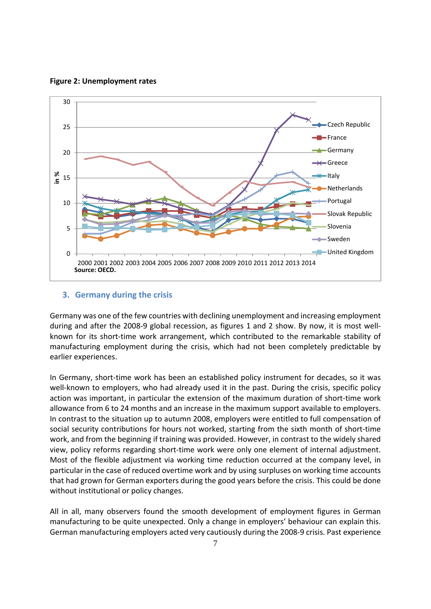**Figure 2: Unemployment rates** 



#### **3. Germany during the crisis**

Germany was one of the few countries with declining unemployment and increasing employment during and after the 2008‐9 global recession, as figures 1 and 2 show. By now, it is most well‐ known for its short-time work arrangement, which contributed to the remarkable stability of manufacturing employment during the crisis, which had not been completely predictable by earlier experiences.

In Germany, short‐time work has been an established policy instrument for decades, so it was well-known to employers, who had already used it in the past. During the crisis, specific policy action was important, in particular the extension of the maximum duration of short-time work allowance from 6 to 24 months and an increase in the maximum support available to employers. In contrast to the situation up to autumn 2008, employers were entitled to full compensation of social security contributions for hours not worked, starting from the sixth month of short‐time work, and from the beginning if training was provided. However, in contrast to the widely shared view, policy reforms regarding short‐time work were only one element of internal adjustment. Most of the flexible adjustment via working time reduction occurred at the company level, in particular in the case of reduced overtime work and by using surpluses on working time accounts that had grown for German exporters during the good years before the crisis. This could be done without institutional or policy changes.

All in all, many observers found the smooth development of employment figures in German manufacturing to be quite unexpected. Only a change in employers' behaviour can explain this. German manufacturing employers acted very cautiously during the 2008‐9 crisis. Past experience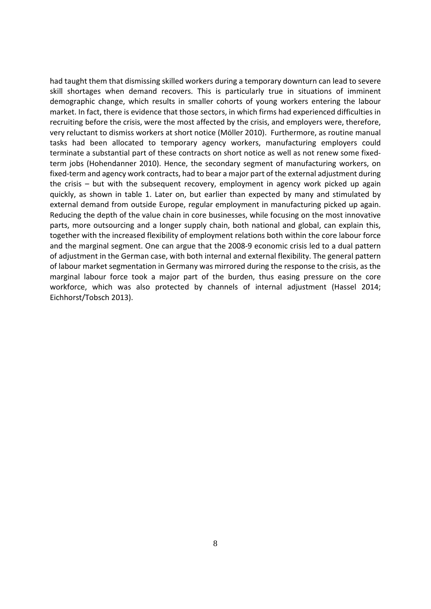had taught them that dismissing skilled workers during a temporary downturn can lead to severe skill shortages when demand recovers. This is particularly true in situations of imminent demographic change, which results in smaller cohorts of young workers entering the labour market. In fact, there is evidence that those sectors, in which firms had experienced difficulties in recruiting before the crisis, were the most affected by the crisis, and employers were, therefore, very reluctant to dismiss workers at short notice (Möller 2010). Furthermore, as routine manual tasks had been allocated to temporary agency workers, manufacturing employers could terminate a substantial part of these contracts on short notice as well as not renew some fixed‐ term jobs (Hohendanner 2010). Hence, the secondary segment of manufacturing workers, on fixed-term and agency work contracts, had to bear a major part of the external adjustment during the crisis – but with the subsequent recovery, employment in agency work picked up again quickly, as shown in table 1. Later on, but earlier than expected by many and stimulated by external demand from outside Europe, regular employment in manufacturing picked up again. Reducing the depth of the value chain in core businesses, while focusing on the most innovative parts, more outsourcing and a longer supply chain, both national and global, can explain this, together with the increased flexibility of employment relations both within the core labour force and the marginal segment. One can argue that the 2008‐9 economic crisis led to a dual pattern of adjustment in the German case, with both internal and external flexibility. The general pattern of labour market segmentation in Germany was mirrored during the response to the crisis, as the marginal labour force took a major part of the burden, thus easing pressure on the core workforce, which was also protected by channels of internal adjustment (Hassel 2014; Eichhorst/Tobsch 2013).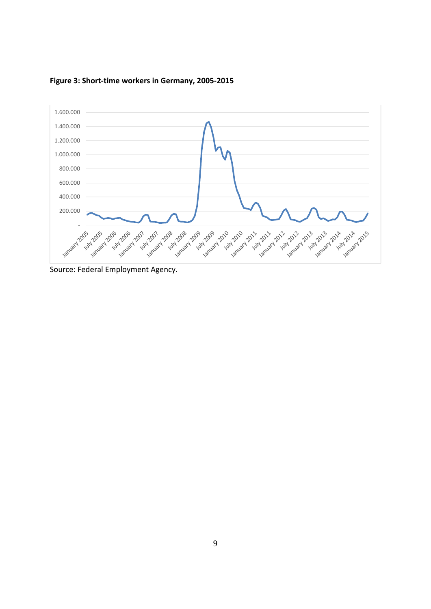

**Figure 3: Short‐time workers in Germany, 2005‐2015** 

Source: Federal Employment Agency.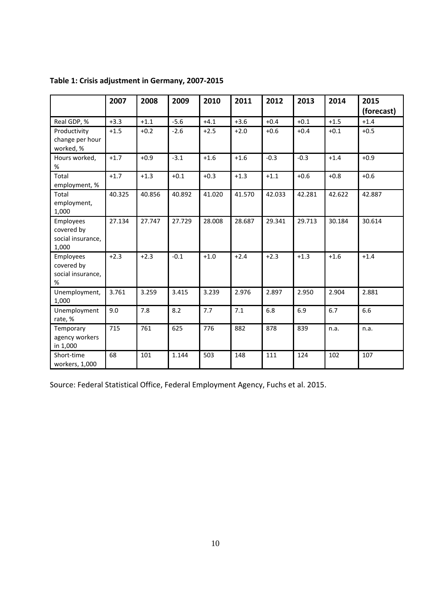|                                                       | 2007   | 2008   | 2009   | 2010   | 2011   | 2012             | 2013   | 2014   | 2015<br>(forecast) |
|-------------------------------------------------------|--------|--------|--------|--------|--------|------------------|--------|--------|--------------------|
| Real GDP, %                                           | $+3.3$ | $+1.1$ | $-5.6$ | $+4.1$ | $+3.6$ | $+0.4$           | $+0.1$ | $+1.5$ | $+1.4$             |
| Productivity<br>change per hour<br>worked, %          | $+1.5$ | $+0.2$ | $-2.6$ | $+2.5$ | $+2.0$ | $+0.6$           | $+0.4$ | $+0.1$ | $+0.5$             |
| Hours worked,<br>%                                    | $+1.7$ | $+0.9$ | $-3.1$ | $+1.6$ | $+1.6$ | $-0.3$<br>$-0.3$ |        | $+1.4$ | $+0.9$             |
| Total<br>employment, %                                | $+1.7$ | $+1.3$ | $+0.1$ | $+0.3$ | $+1.3$ | $+1.1$           | $+0.6$ | $+0.8$ | $+0.6$             |
| Total<br>employment,<br>1,000                         | 40.325 | 40.856 | 40.892 | 41.020 | 41.570 | 42.033           | 42.281 | 42.622 | 42.887             |
| Employees<br>covered by<br>social insurance,<br>1,000 | 27.134 | 27.747 | 27.729 | 28.008 | 28.687 | 29.341           | 29.713 | 30.184 | 30.614             |
| Employees<br>covered by<br>social insurance,<br>%     | $+2.3$ | $+2.3$ | $-0.1$ | $+1.0$ | $+2.4$ | $+2.3$           | $+1.3$ | $+1.6$ | $+1.4$             |
| Unemployment,<br>1,000                                | 3.761  | 3.259  | 3.415  | 3.239  | 2.976  | 2.897            | 2.950  | 2.904  | 2.881              |
| Unemployment<br>rate, %                               | 9.0    | 7.8    | 8.2    | 7.7    | 7.1    | 6.8              | 6.9    | 6.7    | 6.6                |
| Temporary<br>agency workers<br>in 1,000               | 715    | 761    | 625    | 776    | 882    | 878              | 839    | n.a.   | n.a.               |
| Short-time<br>workers, 1,000                          | 68     | 101    | 1.144  | 503    | 148    | 111              | 124    | 102    | 107                |

### **Table 1: Crisis adjustment in Germany, 2007‐2015**

Source: Federal Statistical Office, Federal Employment Agency, Fuchs et al. 2015.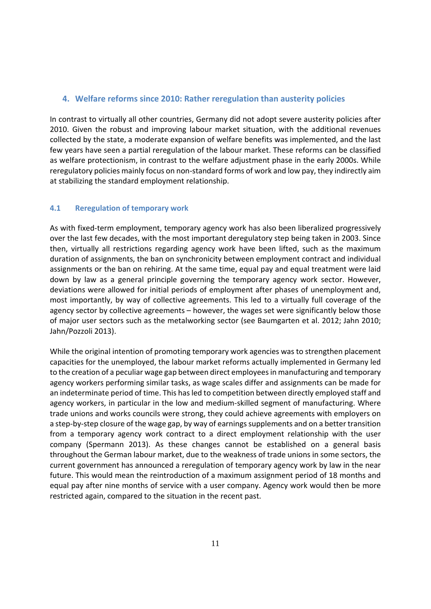#### **4. Welfare reforms since 2010: Rather reregulation than austerity policies**

In contrast to virtually all other countries, Germany did not adopt severe austerity policies after 2010. Given the robust and improving labour market situation, with the additional revenues collected by the state, a moderate expansion of welfare benefits was implemented, and the last few years have seen a partial reregulation of the labour market. These reforms can be classified as welfare protectionism, in contrast to the welfare adjustment phase in the early 2000s. While reregulatory policies mainly focus on non‐standard forms of work and low pay, they indirectly aim at stabilizing the standard employment relationship.

#### **4.1 Reregulation of temporary work**

As with fixed-term employment, temporary agency work has also been liberalized progressively over the last few decades, with the most important deregulatory step being taken in 2003. Since then, virtually all restrictions regarding agency work have been lifted, such as the maximum duration of assignments, the ban on synchronicity between employment contract and individual assignments or the ban on rehiring. At the same time, equal pay and equal treatment were laid down by law as a general principle governing the temporary agency work sector. However, deviations were allowed for initial periods of employment after phases of unemployment and, most importantly, by way of collective agreements. This led to a virtually full coverage of the agency sector by collective agreements – however, the wages set were significantly below those of major user sectors such as the metalworking sector (see Baumgarten et al. 2012; Jahn 2010; Jahn/Pozzoli 2013).

While the original intention of promoting temporary work agencies was to strengthen placement capacities for the unemployed, the labour market reforms actually implemented in Germany led to the creation of a peculiar wage gap between direct employeesin manufacturing and temporary agency workers performing similar tasks, as wage scales differ and assignments can be made for an indeterminate period of time. This has led to competition between directly employed staff and agency workers, in particular in the low and medium‐skilled segment of manufacturing. Where trade unions and works councils were strong, they could achieve agreements with employers on a step-by-step closure of the wage gap, by way of earnings supplements and on a better transition from a temporary agency work contract to a direct employment relationship with the user company (Spermann 2013). As these changes cannot be established on a general basis throughout the German labour market, due to the weakness of trade unions in some sectors, the current government has announced a reregulation of temporary agency work by law in the near future. This would mean the reintroduction of a maximum assignment period of 18 months and equal pay after nine months of service with a user company. Agency work would then be more restricted again, compared to the situation in the recent past.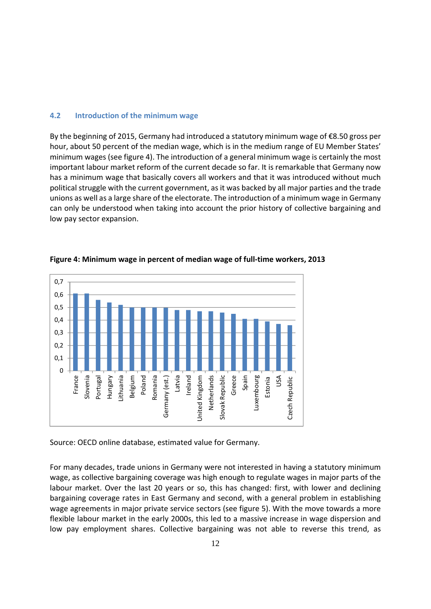#### **4.2 Introduction of the minimum wage**

By the beginning of 2015, Germany had introduced a statutory minimum wage of €8.50 gross per hour, about 50 percent of the median wage, which is in the medium range of EU Member States' minimum wages (see figure 4). The introduction of a general minimum wage is certainly the most important labour market reform of the current decade so far. It is remarkable that Germany now has a minimum wage that basically covers all workers and that it was introduced without much political struggle with the current government, as it was backed by all major parties and the trade unions as well as a large share of the electorate. The introduction of a minimum wage in Germany can only be understood when taking into account the prior history of collective bargaining and low pay sector expansion.



#### **Figure 4: Minimum wage in percent of median wage of full‐time workers, 2013**

Source: OECD online database, estimated value for Germany.

For many decades, trade unions in Germany were not interested in having a statutory minimum wage, as collective bargaining coverage was high enough to regulate wages in major parts of the labour market. Over the last 20 years or so, this has changed: first, with lower and declining bargaining coverage rates in East Germany and second, with a general problem in establishing wage agreements in major private service sectors (see figure 5). With the move towards a more flexible labour market in the early 2000s, this led to a massive increase in wage dispersion and low pay employment shares. Collective bargaining was not able to reverse this trend, as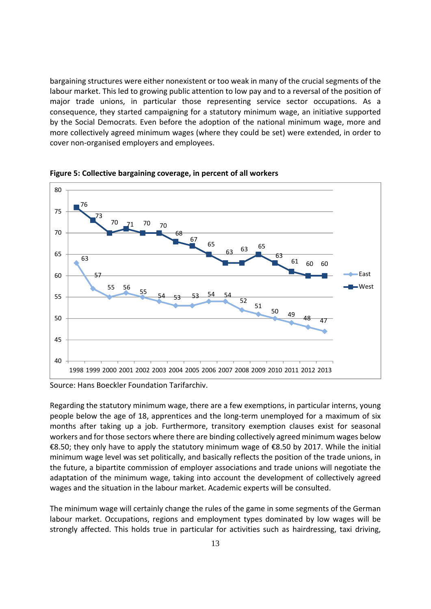bargaining structures were either nonexistent or too weak in many of the crucial segments of the labour market. This led to growing public attention to low pay and to a reversal of the position of major trade unions, in particular those representing service sector occupations. As a consequence, they started campaigning for a statutory minimum wage, an initiative supported by the Social Democrats. Even before the adoption of the national minimum wage, more and more collectively agreed minimum wages (where they could be set) were extended, in order to cover non‐organised employers and employees.



**Figure 5: Collective bargaining coverage, in percent of all workers** 

Source: Hans Boeckler Foundation Tarifarchiv.

Regarding the statutory minimum wage, there are a few exemptions, in particular interns, young people below the age of 18, apprentices and the long‐term unemployed for a maximum of six months after taking up a job. Furthermore, transitory exemption clauses exist for seasonal workers and for those sectors where there are binding collectively agreed minimum wages below €8.50; they only have to apply the statutory minimum wage of €8.50 by 2017. While the initial minimum wage level was set politically, and basically reflects the position of the trade unions, in the future, a bipartite commission of employer associations and trade unions will negotiate the adaptation of the minimum wage, taking into account the development of collectively agreed wages and the situation in the labour market. Academic experts will be consulted.

The minimum wage will certainly change the rules of the game in some segments of the German labour market. Occupations, regions and employment types dominated by low wages will be strongly affected. This holds true in particular for activities such as hairdressing, taxi driving,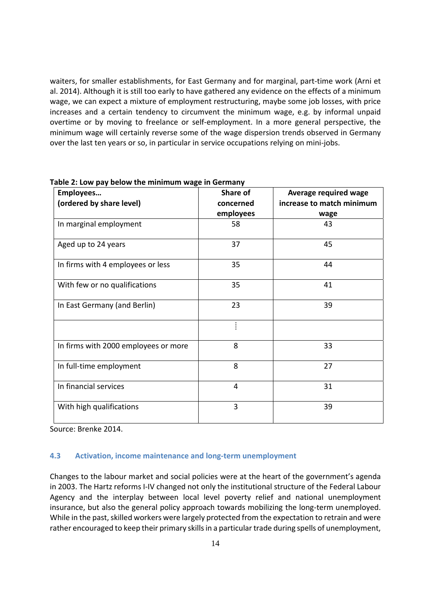waiters, for smaller establishments, for East Germany and for marginal, part-time work (Arni et al. 2014). Although it is still too early to have gathered any evidence on the effects of a minimum wage, we can expect a mixture of employment restructuring, maybe some job losses, with price increases and a certain tendency to circumvent the minimum wage, e.g. by informal unpaid overtime or by moving to freelance or self‐employment. In a more general perspective, the minimum wage will certainly reverse some of the wage dispersion trends observed in Germany over the last ten years or so, in particular in service occupations relying on mini‐jobs.

| Employees<br>(ordered by share level) | Share of<br>concerned | Average required wage<br>increase to match minimum |  |  |  |  |
|---------------------------------------|-----------------------|----------------------------------------------------|--|--|--|--|
|                                       | employees             | wage                                               |  |  |  |  |
| In marginal employment                | 58                    | 43                                                 |  |  |  |  |
| Aged up to 24 years                   | 37                    | 45                                                 |  |  |  |  |
| In firms with 4 employees or less     | 35                    | 44                                                 |  |  |  |  |
| With few or no qualifications         | 35                    | 41                                                 |  |  |  |  |
| In East Germany (and Berlin)          | 23                    | 39                                                 |  |  |  |  |
|                                       |                       |                                                    |  |  |  |  |
| In firms with 2000 employees or more  | 8                     | 33                                                 |  |  |  |  |
| In full-time employment               | 8                     | 27                                                 |  |  |  |  |
| In financial services                 | 4                     | 31                                                 |  |  |  |  |
| With high qualifications              | 3                     | 39                                                 |  |  |  |  |

|  |  |  | Table 2: Low pay below the minimum wage in Germany |
|--|--|--|----------------------------------------------------|
|--|--|--|----------------------------------------------------|

Source: Brenke 2014.

#### **4.3 Activation, income maintenance and long‐term unemployment**

Changes to the labour market and social policies were at the heart of the government's agenda in 2003. The Hartz reforms I‐IV changed not only the institutional structure of the Federal Labour Agency and the interplay between local level poverty relief and national unemployment insurance, but also the general policy approach towards mobilizing the long-term unemployed. While in the past, skilled workers were largely protected from the expectation to retrain and were rather encouraged to keep their primary skills in a particular trade during spells of unemployment,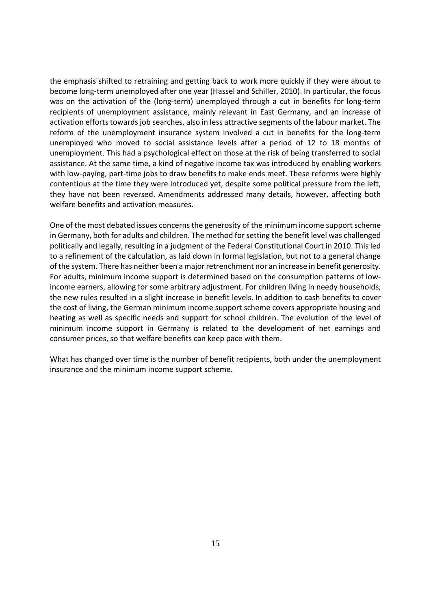the emphasis shifted to retraining and getting back to work more quickly if they were about to become long‐term unemployed after one year (Hassel and Schiller, 2010). In particular, the focus was on the activation of the (long-term) unemployed through a cut in benefits for long-term recipients of unemployment assistance, mainly relevant in East Germany, and an increase of activation efforts towards job searches, also in less attractive segments of the labour market. The reform of the unemployment insurance system involved a cut in benefits for the long-term unemployed who moved to social assistance levels after a period of 12 to 18 months of unemployment. This had a psychological effect on those at the risk of being transferred to social assistance. At the same time, a kind of negative income tax was introduced by enabling workers with low-paying, part-time jobs to draw benefits to make ends meet. These reforms were highly contentious at the time they were introduced yet, despite some political pressure from the left, they have not been reversed. Amendments addressed many details, however, affecting both welfare benefits and activation measures.

One of the most debated issues concerns the generosity of the minimum income support scheme in Germany, both for adults and children. The method for setting the benefit level was challenged politically and legally, resulting in a judgment of the Federal Constitutional Court in 2010. This led to a refinement of the calculation, as laid down in formal legislation, but not to a general change of the system. There has neither been a major retrenchment nor an increase in benefit generosity. For adults, minimum income support is determined based on the consumption patterns of low‐ income earners, allowing for some arbitrary adjustment. For children living in needy households, the new rules resulted in a slight increase in benefit levels. In addition to cash benefits to cover the cost of living, the German minimum income support scheme covers appropriate housing and heating as well as specific needs and support for school children. The evolution of the level of minimum income support in Germany is related to the development of net earnings and consumer prices, so that welfare benefits can keep pace with them.

What has changed over time is the number of benefit recipients, both under the unemployment insurance and the minimum income support scheme.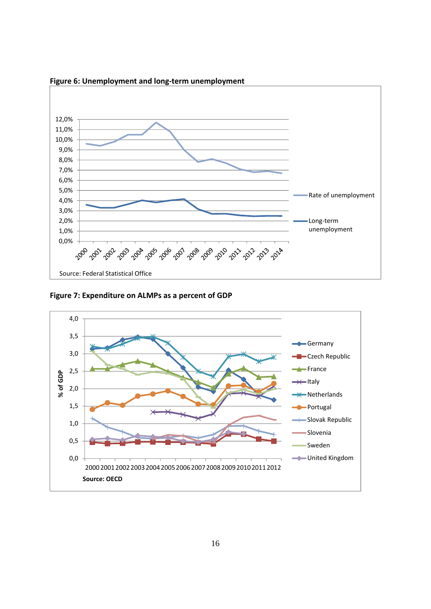

**Figure 6: Unemployment and long‐term unemployment** 

**Figure 7: Expenditure on ALMPs as a percent of GDP**

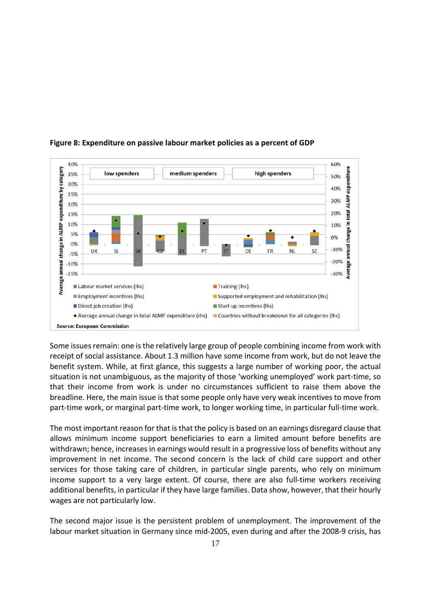

#### **Figure 8: Expenditure on passive labour market policies as a percent of GDP**

Some issues remain: one is the relatively large group of people combining income from work with receipt of social assistance. About 1.3 million have some income from work, but do not leave the benefit system. While, at first glance, this suggests a large number of working poor, the actual situation is not unambiguous, as the majority of those 'working unemployed' work part‐time, so that their income from work is under no circumstances sufficient to raise them above the breadline. Here, the main issue is that some people only have very weak incentives to move from part‐time work, or marginal part‐time work, to longer working time, in particular full‐time work.

The most important reason for that is that the policy is based on an earnings disregard clause that allows minimum income support beneficiaries to earn a limited amount before benefits are withdrawn; hence, increases in earnings would result in a progressive loss of benefits without any improvement in net income. The second concern is the lack of child care support and other services for those taking care of children, in particular single parents, who rely on minimum income support to a very large extent. Of course, there are also full-time workers receiving additional benefits, in particular if they have large families. Data show, however, that their hourly wages are not particularly low.

The second major issue is the persistent problem of unemployment. The improvement of the labour market situation in Germany since mid-2005, even during and after the 2008-9 crisis, has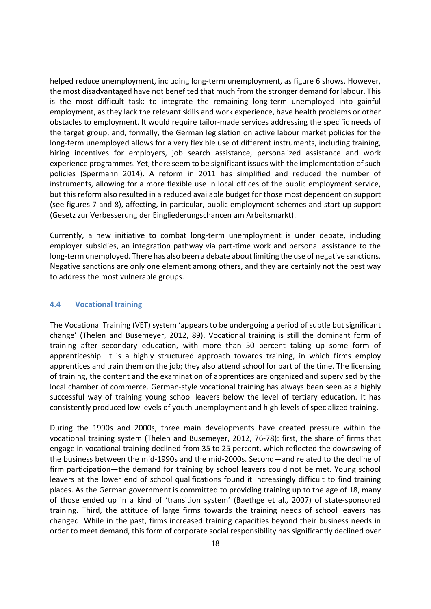helped reduce unemployment, including long-term unemployment, as figure 6 shows. However, the most disadvantaged have not benefited that much from the stronger demand for labour. This is the most difficult task: to integrate the remaining long-term unemployed into gainful employment, as they lack the relevant skills and work experience, have health problems or other obstacles to employment. It would require tailor‐made services addressing the specific needs of the target group, and, formally, the German legislation on active labour market policies for the long-term unemployed allows for a very flexible use of different instruments, including training, hiring incentives for employers, job search assistance, personalized assistance and work experience programmes. Yet, there seem to be significant issues with the implementation of such policies (Spermann 2014). A reform in 2011 has simplified and reduced the number of instruments, allowing for a more flexible use in local offices of the public employment service, but this reform also resulted in a reduced available budget for those most dependent on support (see figures 7 and 8), affecting, in particular, public employment schemes and start‐up support (Gesetz zur Verbesserung der Eingliederungschancen am Arbeitsmarkt).

Currently, a new initiative to combat long‐term unemployment is under debate, including employer subsidies, an integration pathway via part-time work and personal assistance to the long-term unemployed. There has also been a debate about limiting the use of negative sanctions. Negative sanctions are only one element among others, and they are certainly not the best way to address the most vulnerable groups.

#### **4.4 Vocational training**

The Vocational Training (VET) system 'appears to be undergoing a period of subtle but significant change' (Thelen and Busemeyer, 2012, 89). Vocational training is still the dominant form of training after secondary education, with more than 50 percent taking up some form of apprenticeship. It is a highly structured approach towards training, in which firms employ apprentices and train them on the job; they also attend school for part of the time. The licensing of training, the content and the examination of apprentices are organized and supervised by the local chamber of commerce. German‐style vocational training has always been seen as a highly successful way of training young school leavers below the level of tertiary education. It has consistently produced low levels of youth unemployment and high levels of specialized training.

During the 1990s and 2000s, three main developments have created pressure within the vocational training system (Thelen and Busemeyer, 2012, 76‐78): first, the share of firms that engage in vocational training declined from 35 to 25 percent, which reflected the downswing of the business between the mid‐1990s and the mid‐2000s. Second―and related to the decline of firm participation—the demand for training by school leavers could not be met. Young school leavers at the lower end of school qualifications found it increasingly difficult to find training places. As the German government is committed to providing training up to the age of 18, many of those ended up in a kind of 'transition system' (Baethge et al., 2007) of state‐sponsored training. Third, the attitude of large firms towards the training needs of school leavers has changed. While in the past, firms increased training capacities beyond their business needs in order to meet demand, this form of corporate social responsibility has significantly declined over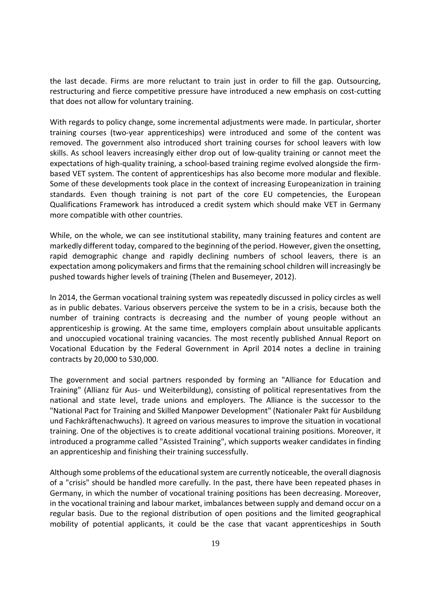the last decade. Firms are more reluctant to train just in order to fill the gap. Outsourcing, restructuring and fierce competitive pressure have introduced a new emphasis on cost-cutting that does not allow for voluntary training.

With regards to policy change, some incremental adjustments were made. In particular, shorter training courses (two‐year apprenticeships) were introduced and some of the content was removed. The government also introduced short training courses for school leavers with low skills. As school leavers increasingly either drop out of low-quality training or cannot meet the expectations of high-quality training, a school-based training regime evolved alongside the firmbased VET system. The content of apprenticeships has also become more modular and flexible. Some of these developments took place in the context of increasing Europeanization in training standards. Even though training is not part of the core EU competencies, the European Qualifications Framework has introduced a credit system which should make VET in Germany more compatible with other countries.

While, on the whole, we can see institutional stability, many training features and content are markedly different today, compared to the beginning of the period. However, given the onsetting, rapid demographic change and rapidly declining numbers of school leavers, there is an expectation among policymakers and firms that the remaining school children will increasingly be pushed towards higher levels of training (Thelen and Busemeyer, 2012).

In 2014, the German vocational training system was repeatedly discussed in policy circles as well as in public debates. Various observers perceive the system to be in a crisis, because both the number of training contracts is decreasing and the number of young people without an apprenticeship is growing. At the same time, employers complain about unsuitable applicants and unoccupied vocational training vacancies. The most recently published Annual Report on Vocational Education by the Federal Government in April 2014 notes a decline in training contracts by 20,000 to 530,000.

The government and social partners responded by forming an "Alliance for Education and Training" (Allianz für Aus‐ und Weiterbildung), consisting of political representatives from the national and state level, trade unions and employers. The Alliance is the successor to the "National Pact for Training and Skilled Manpower Development" (Nationaler Pakt für Ausbildung und Fachkräftenachwuchs). It agreed on various measures to improve the situation in vocational training. One of the objectives is to create additional vocational training positions. Moreover, it introduced a programme called "Assisted Training", which supports weaker candidates in finding an apprenticeship and finishing their training successfully.

Although some problems of the educationalsystem are currently noticeable, the overall diagnosis of a "crisis" should be handled more carefully. In the past, there have been repeated phases in Germany, in which the number of vocational training positions has been decreasing. Moreover, in the vocational training and labour market, imbalances between supply and demand occur on a regular basis. Due to the regional distribution of open positions and the limited geographical mobility of potential applicants, it could be the case that vacant apprenticeships in South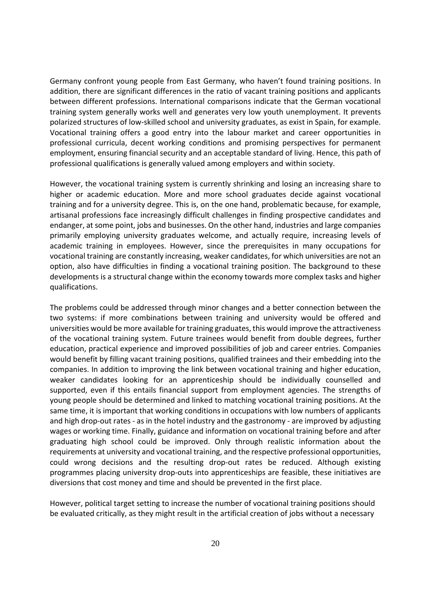Germany confront young people from East Germany, who haven't found training positions. In addition, there are significant differences in the ratio of vacant training positions and applicants between different professions. International comparisons indicate that the German vocational training system generally works well and generates very low youth unemployment. It prevents polarized structures of low‐skilled school and university graduates, as exist in Spain, for example. Vocational training offers a good entry into the labour market and career opportunities in professional curricula, decent working conditions and promising perspectives for permanent employment, ensuring financial security and an acceptable standard of living. Hence, this path of professional qualifications is generally valued among employers and within society.

However, the vocational training system is currently shrinking and losing an increasing share to higher or academic education. More and more school graduates decide against vocational training and for a university degree. This is, on the one hand, problematic because, for example, artisanal professions face increasingly difficult challenges in finding prospective candidates and endanger, at some point, jobs and businesses. On the other hand, industries and large companies primarily employing university graduates welcome, and actually require, increasing levels of academic training in employees. However, since the prerequisites in many occupations for vocational training are constantly increasing, weaker candidates, for which universities are not an option, also have difficulties in finding a vocational training position. The background to these developments is a structural change within the economy towards more complex tasks and higher qualifications.

The problems could be addressed through minor changes and a better connection between the two systems: if more combinations between training and university would be offered and universities would be more available for training graduates, this would improve the attractiveness of the vocational training system. Future trainees would benefit from double degrees, further education, practical experience and improved possibilities of job and career entries. Companies would benefit by filling vacant training positions, qualified trainees and their embedding into the companies. In addition to improving the link between vocational training and higher education, weaker candidates looking for an apprenticeship should be individually counselled and supported, even if this entails financial support from employment agencies. The strengths of young people should be determined and linked to matching vocational training positions. At the same time, it is important that working conditions in occupations with low numbers of applicants and high drop-out rates - as in the hotel industry and the gastronomy - are improved by adjusting wages or working time. Finally, guidance and information on vocational training before and after graduating high school could be improved. Only through realistic information about the requirements at university and vocational training, and the respective professional opportunities, could wrong decisions and the resulting drop‐out rates be reduced. Although existing programmes placing university drop‐outs into apprenticeships are feasible, these initiatives are diversions that cost money and time and should be prevented in the first place.

However, political target setting to increase the number of vocational training positions should be evaluated critically, as they might result in the artificial creation of jobs without a necessary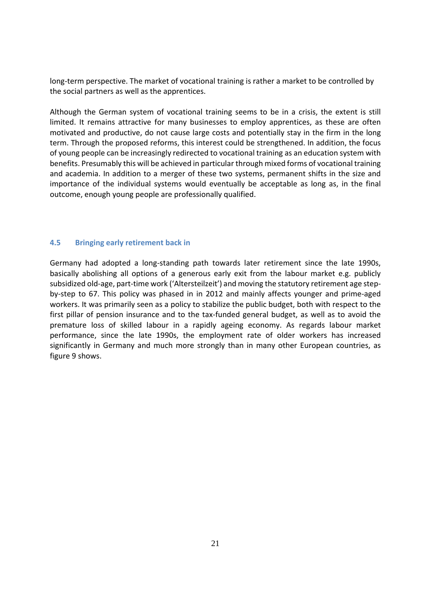long-term perspective. The market of vocational training is rather a market to be controlled by the social partners as well as the apprentices.

Although the German system of vocational training seems to be in a crisis, the extent is still limited. It remains attractive for many businesses to employ apprentices, as these are often motivated and productive, do not cause large costs and potentially stay in the firm in the long term. Through the proposed reforms, this interest could be strengthened. In addition, the focus of young people can be increasingly redirected to vocational training as an education system with benefits. Presumably this will be achieved in particular through mixed forms of vocational training and academia. In addition to a merger of these two systems, permanent shifts in the size and importance of the individual systems would eventually be acceptable as long as, in the final outcome, enough young people are professionally qualified.

#### **4.5 Bringing early retirement back in**

Germany had adopted a long‐standing path towards later retirement since the late 1990s, basically abolishing all options of a generous early exit from the labour market e.g. publicly subsidized old-age, part-time work ('Altersteilzeit') and moving the statutory retirement age stepby‐step to 67. This policy was phased in in 2012 and mainly affects younger and prime‐aged workers. It was primarily seen as a policy to stabilize the public budget, both with respect to the first pillar of pension insurance and to the tax-funded general budget, as well as to avoid the premature loss of skilled labour in a rapidly ageing economy. As regards labour market performance, since the late 1990s, the employment rate of older workers has increased significantly in Germany and much more strongly than in many other European countries, as figure 9 shows.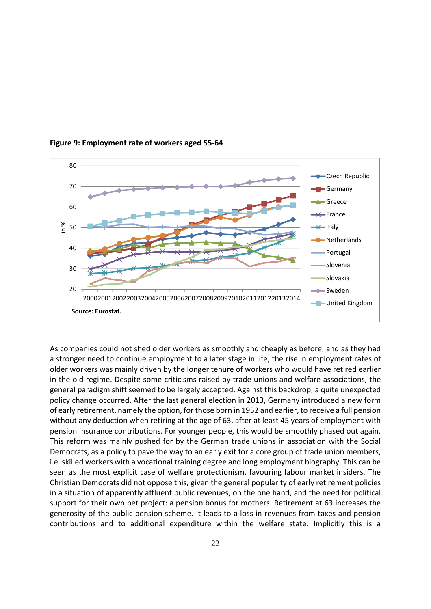

**Figure 9: Employment rate of workers aged 55‐64**

As companies could not shed older workers as smoothly and cheaply as before, and as they had a stronger need to continue employment to a later stage in life, the rise in employment rates of older workers was mainly driven by the longer tenure of workers who would have retired earlier in the old regime. Despite some criticisms raised by trade unions and welfare associations, the general paradigm shift seemed to be largely accepted. Against this backdrop, a quite unexpected policy change occurred. After the last general election in 2013, Germany introduced a new form of early retirement, namely the option, for those born in 1952 and earlier, to receive a full pension without any deduction when retiring at the age of 63, after at least 45 years of employment with pension insurance contributions. For younger people, this would be smoothly phased out again. This reform was mainly pushed for by the German trade unions in association with the Social Democrats, as a policy to pave the way to an early exit for a core group of trade union members, i.e. skilled workers with a vocational training degree and long employment biography. This can be seen as the most explicit case of welfare protectionism, favouring labour market insiders. The Christian Democrats did not oppose this, given the general popularity of early retirement policies in a situation of apparently affluent public revenues, on the one hand, and the need for political support for their own pet project: a pension bonus for mothers. Retirement at 63 increases the generosity of the public pension scheme. It leads to a loss in revenues from taxes and pension contributions and to additional expenditure within the welfare state. Implicitly this is a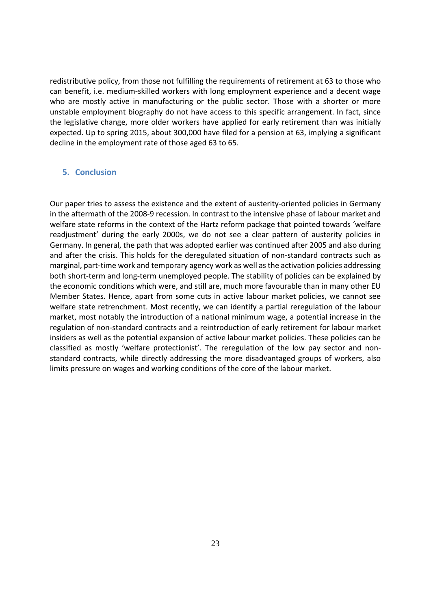redistributive policy, from those not fulfilling the requirements of retirement at 63 to those who can benefit, i.e. medium‐skilled workers with long employment experience and a decent wage who are mostly active in manufacturing or the public sector. Those with a shorter or more unstable employment biography do not have access to this specific arrangement. In fact, since the legislative change, more older workers have applied for early retirement than was initially expected. Up to spring 2015, about 300,000 have filed for a pension at 63, implying a significant decline in the employment rate of those aged 63 to 65.

#### **5. Conclusion**

Our paper tries to assess the existence and the extent of austerity-oriented policies in Germany in the aftermath of the 2008‐9 recession. In contrast to the intensive phase of labour market and welfare state reforms in the context of the Hartz reform package that pointed towards 'welfare readjustment' during the early 2000s, we do not see a clear pattern of austerity policies in Germany. In general, the path that was adopted earlier was continued after 2005 and also during and after the crisis. This holds for the deregulated situation of non-standard contracts such as marginal, part‐time work and temporary agency work as well asthe activation policies addressing both short-term and long-term unemployed people. The stability of policies can be explained by the economic conditions which were, and still are, much more favourable than in many other EU Member States. Hence, apart from some cuts in active labour market policies, we cannot see welfare state retrenchment. Most recently, we can identify a partial reregulation of the labour market, most notably the introduction of a national minimum wage, a potential increase in the regulation of non‐standard contracts and a reintroduction of early retirement for labour market insiders as well as the potential expansion of active labour market policies. These policies can be classified as mostly 'welfare protectionist'. The reregulation of the low pay sector and non‐ standard contracts, while directly addressing the more disadvantaged groups of workers, also limits pressure on wages and working conditions of the core of the labour market.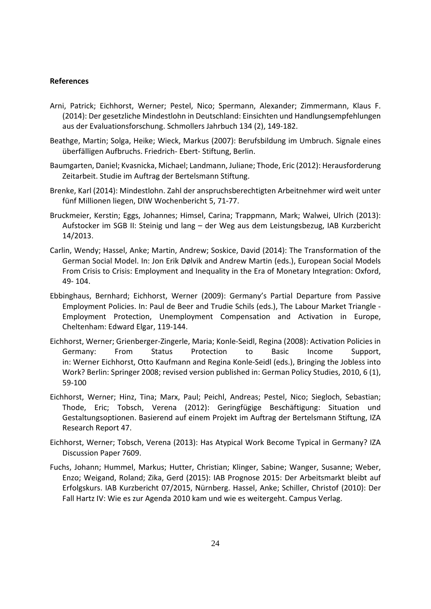#### **References**

- Arni, Patrick; Eichhorst, Werner; Pestel, Nico; Spermann, Alexander; Zimmermann, Klaus F. (2014): Der gesetzliche Mindestlohn in Deutschland: Einsichten und Handlungsempfehlungen aus der Evaluationsforschung. Schmollers Jahrbuch 134 (2), 149‐182.
- Beathge, Martin; Solga, Heike; Wieck, Markus (2007): Berufsbildung im Umbruch. Signale eines überfälligen Aufbruchs. Friedrich‐ Ebert‐ Stiftung, Berlin.
- Baumgarten, Daniel; Kvasnicka, Michael; Landmann, Juliane; Thode, Eric (2012): Herausforderung Zeitarbeit. Studie im Auftrag der Bertelsmann Stiftung.
- Brenke, Karl (2014): Mindestlohn. Zahl der anspruchsberechtigten Arbeitnehmer wird weit unter fünf Millionen liegen, DIW Wochenbericht 5, 71‐77.
- Bruckmeier, Kerstin; Eggs, Johannes; Himsel, Carina; Trappmann, Mark; Walwei, Ulrich (2013): Aufstocker im SGB II: Steinig und lang – der Weg aus dem Leistungsbezug, IAB Kurzbericht 14/2013.
- Carlin, Wendy; Hassel, Anke; Martin, Andrew; Soskice, David (2014): The Transformation of the German Social Model. In: Jon Erik Dølvik and Andrew Martin (eds.), European Social Models From Crisis to Crisis: Employment and Inequality in the Era of Monetary Integration: Oxford, 49‐ 104.
- Ebbinghaus, Bernhard; Eichhorst, Werner (2009): Germany's Partial Departure from Passive Employment Policies. In: Paul de Beer and Trudie Schils (eds.), The Labour Market Triangle ‐ Employment Protection, Unemployment Compensation and Activation in Europe, Cheltenham: Edward Elgar, 119‐144.
- Eichhorst, Werner; Grienberger‐Zingerle, Maria; Konle‐Seidl, Regina (2008): Activation Policies in Germany: From Status Protection to Basic Income Support, in: Werner Eichhorst, Otto Kaufmann and Regina Konle‐Seidl (eds.), Bringing the Jobless into Work? Berlin: Springer 2008; revised version published in: German Policy Studies, 2010, 6 (1), 59‐100
- Eichhorst, Werner; Hinz, Tina; Marx, Paul; Peichl, Andreas; Pestel, Nico; Siegloch, Sebastian; Thode, Eric; Tobsch, Verena (2012): Geringfügige Beschäftigung: Situation und Gestaltungsoptionen. Basierend auf einem Projekt im Auftrag der Bertelsmann Stiftung, IZA Research Report 47.
- Eichhorst, Werner; Tobsch, Verena (2013): Has Atypical Work Become Typical in Germany? IZA Discussion Paper 7609.
- Fuchs, Johann; Hummel, Markus; Hutter, Christian; Klinger, Sabine; Wanger, Susanne; Weber, Enzo; Weigand, Roland; Zika, Gerd (2015): IAB Prognose 2015: Der Arbeitsmarkt bleibt auf Erfolgskurs. IAB Kurzbericht 07/2015, Nürnberg. Hassel, Anke; Schiller, Christof (2010): Der Fall Hartz IV: Wie es zur Agenda 2010 kam und wie es weitergeht. Campus Verlag.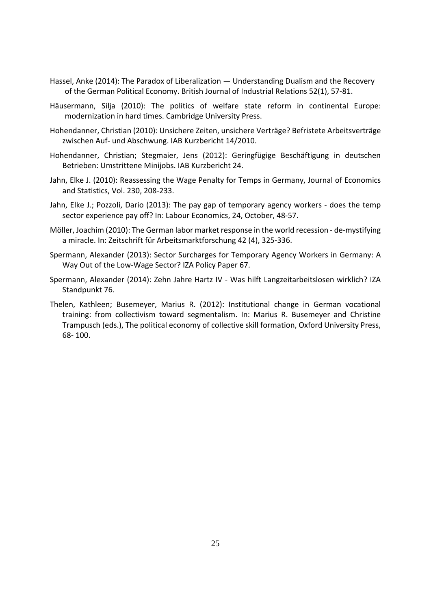- Hassel, Anke (2014): The Paradox of Liberalization Understanding Dualism and the Recovery of the German Political Economy. British Journal of Industrial Relations 52(1), 57‐81.
- Häusermann, Silja (2010): The politics of welfare state reform in continental Europe: modernization in hard times. Cambridge University Press.
- Hohendanner, Christian (2010): Unsichere Zeiten, unsichere Verträge? Befristete Arbeitsverträge zwischen Auf‐ und Abschwung. IAB Kurzbericht 14/2010.
- Hohendanner, Christian; Stegmaier, Jens (2012): Geringfügige Beschäftigung in deutschen Betrieben: Umstrittene Minijobs. IAB Kurzbericht 24.
- Jahn, Elke J. (2010): Reassessing the Wage Penalty for Temps in Germany, Journal of Economics and Statistics, Vol. 230, 208‐233.
- Jahn, Elke J.; Pozzoli, Dario (2013): The pay gap of temporary agency workers ‐ does the temp sector experience pay off? In: Labour Economics, 24, October, 48‐57.
- Möller, Joachim (2010): The German labor market response in the world recession ‐ de‐mystifying a miracle. In: Zeitschrift für Arbeitsmarktforschung 42 (4), 325‐336.
- Spermann, Alexander (2013): Sector Surcharges for Temporary Agency Workers in Germany: A Way Out of the Low‐Wage Sector? IZA Policy Paper 67.
- Spermann, Alexander (2014): Zehn Jahre Hartz IV ‐ Was hilft Langzeitarbeitslosen wirklich? IZA Standpunkt 76.
- Thelen, Kathleen; Busemeyer, Marius R. (2012): Institutional change in German vocational training: from collectivism toward segmentalism. In: Marius R. Busemeyer and Christine Trampusch (eds.), The political economy of collective skill formation, Oxford University Press, 68‐ 100.